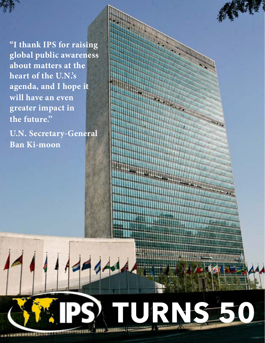**"I thank IPS for raising global public awareness about matters at the heart of the U.N.'s agenda, and I hope it will have an even greater impact in the future.''**

**U.N. Secretary-General Ban Ki-moon**

**turns 50**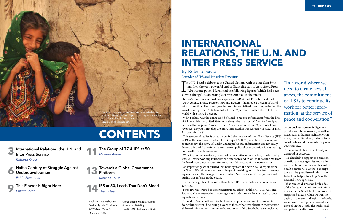**Half a Century of Struggle Against Underdevelopment** 

*Pablo Piacentini*

**This Flower Is Right Here**  *Ernest Corea* 

**International Relations, the U.N. and Inter Press Service** *Roberto Savio*  **3**

# **Contents**

**The Group of 77 & IPS at 50**  *Mourad Ahmia*  **11**

#### *Ramesh Jaura*

**Towards a Global Governance Platform 13**

**IPS at 50, Leads That Don't Bleed**  *Thalif Deen* **14**



 **9**

In 1979, I had a debate at the United Nations with the late<br>ton, then the very powerful and brilliant director of Asso<br>(AP). At one point, I furnished the following figures (whi<br>slow to change), as an example of Western bi If n 1979, I had a debate at the United Nations with the late Stan Swinton, then the very powerful and brilliant director of Associated Press  $\blacktriangle$  (AP). At one point, I furnished the following figures (which had been In 1964, four transnational news agencies – AP, United Press International (UPI), Agence France Presse (AFP) and Reuters – handled 92 percent of world information flow. The other agencies from industrialised countries, including the Soviet news agency TASS, handled a further 7 percent. That left the rest of the world with a mere 1 percent.

Why, I asked, was the entire world obliged to receive information from the likes of AP in which the United States was always the main actor? Swinton's reply was brief and to the point: "Roberto, the U.S. media account for 99 percent of our revenues. Do you think they are more interested in our secretary of state, or in an African minister?"

This structural reality is what lay behind the creation of Inter Press Service (IPS) in 1964, the same year in which the Group of 77 (G77) coalition of developing countries saw the light. I found it unacceptable that information was not really democratic and that – for whatever reason, political or economic – it was leaving out two-thirds of humankind.

We set up an international, non-profit cooperative of journalists, in which – by statute – every working journalist had one share and in which those like me from the North could not account for more than 20 percent of the membership.

As importantly, we stipulated that nobody from the North could report from the South. We set ourselves the challenge of providing journalists from developing countries with the opportunity to refute Northern claims that professional quality was inferior in the South.

Two other significant factors differentiated IPS from the transnational news agencies.

First, IPS was created to cover international affairs, unlike AP, UPI, AFP and Reuters, where international coverage was in addition to the main task of covering national events.

Second, IPS was dedicated to the long-term process and not just to events. By doing this, we would be giving a voice to those who were absent in the traditional flow of information – not only the countries of the South, but also neglected

### **International Relations, the U.N. and Inter Press service**

### By Roberto Savio Founder of IPS and President Emeritus

"In a world where we need to create new alliances, the commitment of IPS is to continue its work for better information, at the service of peace and cooperation."

actors such as women, indigenous peoples and the grassroots, as well as issues such as human rights, environment, multiculturalism, international social justice and the search for global governance…

Of course, all this was not easily understood or accepted.

We decided to support the creation of national news agencies and radio and TV stations in the countries of the South because we saw these as steps towards the pluralism of information. In fact, we helped to set up 22 of these national news agencies.

That created distrust on both sides of the fence. Many ministers of information in the South looked on us with suspicion because, while we were engaging in a useful and legitimate battle, we refused to accept any form of state control. In the North, the traditional and private media looked on us as a

Cover Image: United Nations Secretariat Building. Credit: UN Photo/Mark Garte

Publisher: Ramesh Jaura Design: Lyndal Rowlands © IPS-Inter Press Service November 2014

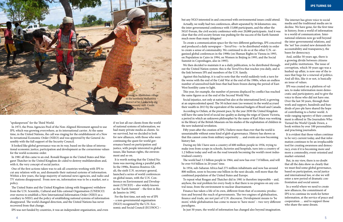"spokesperson" for the Third World.

In 1973, the Press Agencies Pool of the Non-Aligned Movement agreed to use IPS, which was growing everywhere, as its international carrier. At the same time, in the United Nations, the call was ringing for the establishment of a New In-ternational Economic Order (NIEO) and was approved by the General Assembly with the full support of the Security Council.

It looked like global governance was on its way, based on the ideas of international economic justice, participation and development as the cornerstone values for the world economic order.

In 1981 all this came to an end. Ronald Reagan in the United States and Margaret Thatcher in the United Kingdom de-cided to destroy multilateralism and, with it, the very concept of social justice.

One of the first actions taken was to ask all countries working with IPS to cut any relation with us, and dismantle their national systems of information. Within a few years, the large majority of national news agencies, and radio and TV stations disappeared. From now on, information was to be a market, not a policy.

The United States and the United Kingdom (along with Singapore) withdrew from the U.N. Scientific, Cultural and Edu-cational Organisation (UNESCO) over moves to establish a New International Information Order (NIIO) as a corollary to NIEO, and the policy of establishing national systems of information disappeared. The world changed direction, and the United Nations has never recovered from that change.

IPS was not funded by countries, it was an independent organisation, and even

We then decided to maintain it as a daily publication, to be distributed throughout the United Nation system: this is the TerraViva that reaches you daily, and is the link between IPS and members of the U.N. family.

if we lost all our clients from the world of national systems of information, we had many private media as clients. So we survived, but we decided to look for new alliances, with those who were continuing the quest for world governance based on participation and justice, with people interested in global issues, like human rights, the environment and so on.

It is worth noting that the United Nations was moving along a parallel path. In the 1990s, Boutros Boutros-Ghali, the sixth U.N. secretary-general, launched a series of world conferences on global issues, with the U.N. Conference on Environment and Development (UNCED) – also widely known as the 'Earth Summit' – the first in Rio de Janeiro in 1992.

For the first time, not only we of IPS – a non-governmental organisation (NGO) recognised by the U.N. Economic and Social Council (ECOSOC) –

but any NGO interested in and concerned with environmental issues could attend. Actually, we really had two conferences, albeit separated by 36 kilometres: one, the inter-governmental conference with 15,000 participants, and the other the NGO Forum, the civil society conference with over 20,000 participants. And it was clear that the civil society forum was pushing for the success of the Earth Summit much more than many delegates!

To create a communication space for the two different gatherings, IPS conceived and produced a daily newspaper – TerraViva – to be distributed widely in order to create a sense of communality. We continued to do so at the other U.N.-organised global conferences in the 1990s (on Human Rights in Vienna in 1993, on Population in Cairo in 1994, on Women in Beijing in 1995, and the Social Summit in Copenhagen, also in 1995).

Against this backdrop, it is sad to note that the world suddenly took a turn for the worse with the end of the Cold War at the end of the 1980s, when an endless number of unresolved fault lines that had been frozen during the period of East-West hostility came to light.

This year, for example, the number of persons displaced by conflict has reached the same figures as at the end of the Second World War.



Social injustice, not only at national but also at the international level, is growing at an unprecedented speed. The 50 richest men (no women) in the world accrued their wealth in 2013 by the equivalent of the national budgets of Brazil and Canada.

According to Oxfam, at the present pace, by the year 2030 the United Kingdom will have the same level of social ine-quality as during the reign of Queen Victoria, a period in which an unknown philosopher by the name of Karl Marx was working in the library of the British Museum on his studies of the exploitation of children in the new industrial revolution.

Fifty years after the creation of IPS, I believe more than ever that the world is unsustainable without some kind of glob-al governance. History has shown us that this cannot come from military superiority … and events are now becoming history fast.

During my life I have seen a country of 600 million people in 1956, trying to make iron from scraps in schools, factories and hospitals, turn into a country of 1.2 billion today and well on the road towards becoming the world's most industrialised country.

The world had 3.5 billion people in 1964, and now has over 7.0 billion, and will be over 9.0 billion in 20 years' time.

In 1954, sub-Saharan Africa had 275 million inhabitants and now has around 800 million, soon to become one billion in the next decade, well more than the combined population of the United States and Europe.

To repeat what Reagan and Thatcher did in 1981 is therefore impossible – and, anyhow, the real problem for every-body is that there is no progress on any central issue, from the environment to nuclear disarmament.

Finance has taken a life of its own, different from that of economic production and beyond the reach of governments. The two engines of globalisation, finance and trade, are not part of U.N. discourse. Development means to 'be more', while globalisation has come to mean to 'have more' – two very different paradigms.

In just 50 years, the world of information has changed also beyond imagination.

The internet has given voice to social media and the traditional media are in decline. We have gone, for the first time in history, from a world of information to a world of communication. International relations now go well beyond the inter-governmental relations, and the 'net' has created new demands for accountability and transparency, the bases for democracy.

And, unlike 50 years ago, there is a growing divide between citizens and public institutions. The issue of corruption, which 50 years ago was a hushed-up affair, is now one of the issues that begs for a renewal of politics. And all this, like it or not, is basically an issue of values.

IPS was created on a platform of values, to make information more democratic and participatory, and to give the voice to those who did not have one. Over the last 50 years, through their work and support, hundreds and hundreds of peo-ple have shared the hope of contributing to a better world. A wide-ranging tapestry of their commitment is offered in The Journalists Who Turned the World Upside Down, a book written by over 100 personalities and practising journalists.

It is evident that those values continue to be very current today, and that information continues to be an irreplaceable tool for creating awareness and democracy, even if it is becoming more and more a commodity, event-oriented and market-oriented.

But, in my view, there is no doubt that all the data show us clearly that we must find some global governance, based on participation, social justice and international law, or else we will enter a new period of dramatic confrontation and social unrest.

In a world where we need to create new alliances, the commitment of IPS is to continue its work for better information, at the service of peace and cooperation … and to support those who share the same dream.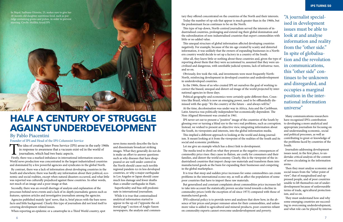The idea of creating Inter Press Service (IPS) arose in the early 1960s in response to awareness that a vacuum exist-ed in the world of journalism, which had two basic aspects.

Firstly, there was a marked imbalance in international information sources. World news production was concentrated in the largest industrialised countries and dominated by a few powerful agencies and syndicates in the global North.

By contrast, there was a lack of information about developing countries in the South and elsewhere; there was hardly any information about their political, economic and social realities, except when natural disasters occurred, and what little was reported was culturally prejudiced against these countries. In other words, not much of an image and a poor image at that.

### **HALF A CENTURY OF STRUGGLE Against Underdevelopment**

Secondly, there was an overall shortage of analysis and explanation of the processes behind news events and a lack of in-depth journalistic genres such as features, opinion articles and investigative journalism among the agencies.

Agencies published mainly 'spot' news, that is, brief pieces with the bare news facts and little background. Clearly this type of journalism did not lend itself to covering development-related issues.

When reporting an epidemic or a catastrophe in a Third World country, spot

#### By Pablo Piacentini

Founder of IPS and Head of the IPS Columnist Service

tary they offered concentrated on the countries of the North and their interests. Today the number of op-eds that appear is much greater than in the 1960s, but the predominant focus continues to be on the North.

This type of top-down, North-centred journalism served the interests of industrialised countries, prolonging and extend-ing their global domination and the subordination of non-industrialised countries that export commodities with little or no added value.

This unequal structure of global information affected developing countries negatively. For example, because of the im-age created by scanty and distorted information, it was unlikely that the owners of expanding businesses in a Northern country would decide to set up a factory in a country of the South.

After all, they knew little or nothing about these countries and, given the type of reporting about them that they were accustomed to, assumed that they were uncivilised and dangerous, with unreliable judicial systems, lack of infrastruc-ture, and so on.

Obviously, few took the risk, and investments were most frequently North-North, reinforcing development in developed countries and underdevelopment in underdeveloped countries.

In the 1960s, those of us who created IPS set ourselves the goal of working to correct the biased, unequal and distort-ed image of the world projected by international agencies in those days.

Political geography and economics were certainly quite different then. Countries like Brazil, which is now an emerging power, used to be offhandedly dismissed with the quip: "It's the country of the future – and always will be." At the time, decolonisation was under way in Africa, Asia and the Caribbean. Latin America was politically independent but economically dependent. The

Non-Aligned Movement was created in 1961.

IPS never set out to present a "positive" image of the countries of the South by glossing over or turning a blind eye to the very real problems, such as corruption. Instead, we wished to present an objective view, integrating information about the South, its viewpoints and interests, into the global information media.

This implied a different approach to looking at the world and doing journalism. It meant looking at it from the viewpoint of the realities of the South and its social and economic problems.

Let me give an example which has a direct link to development.

The media tend to dwell on what they present as the negative consequences of commodity price rises: they cause in-flation, are costly for consumers and their families, and distort the world economy. Clearly, this is the viewpoint of the industrialised countries that import cheap raw materials and transform them into manufactured goods as the basis for expanding their businesses and competing in the global marketplace.

It is true that steep and sudden price increases for some commodities can create problems in the international econo-my, as well as affect the population of some poor countries that have to import these raw materials.

But generalised and constant complaints about commodities price increases fail to take into account the statistically proven secular trend towards a decline in commodity prices (with the exception of oil since 1973) compared with those of manufactured goods.

IPS's editorial policy is to provide news and analyses that show how, in the absence of fair prices and proper remuner-ation for their commodities, and unless more value is added to agricultural and mineral products, poor countries reliant on commodity exports cannot overcome underdevelopment and poverty.

Many communications researchers have recognised IPS's contribution to developing a more analytical and appropriate journalism for focusing on and understanding economic, social and political processes, as well as contributing to great-er knowledge of the problems faced by countries of the South.

Journalists addressing development issues need, in the first place, to undertake critical analysis of the content of news circulating in the information arena.

Then they must analyse economic and social issues from the "other point of view", that of marginalised and oppressed people, and of poor countries unable to lift themselves out of underdevelopment because of unfavourable terms of trade, agricultural protectionism, and so on.

They must understand how and why some emerging countries are succeeding in overcoming underdevelopment, and what role can be played by interna-

"A journalist specialised in development issues must be able to look at and analyse information and reality from the "other side." In spite of globalisation and the revolution in communications, this "other side" continues to be unknown and disregarded, and occupies a marginal position in the international information universe"

news items merely describe the facts and disseminate broadcast striking images. What they generally do not do is make an effort to answer questions such as why diseases that have disappeared or are well under control in the North should cause such terrible regional pandem-ics in less developed countries, or why a major earthquake in Los Angeles or Japan should cause much less damage and fewer deaths than a smaller earthquake in Haiti.

Superficiality and bias still predominate in international journalism.

While it is true that contextualised analytical information started to appear in the op-ed ("opposite the editorial page") section of Anglo-Saxon newspapers, the analysis and commen-

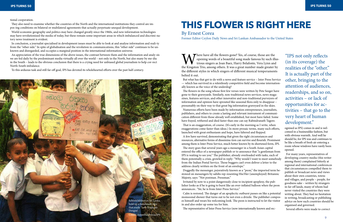tional cooperation.

They also need to examine whether the countries of the North and the international institutions they control are impos-ing conditions on bilateral or multilateral agreements that actually perpetuate unequal development.

World economic geography and politics may have changed greatly since the 1960s, and new information technologies may have revolutionised the media of today, but these remain some important areas in which imbalanced and discrimi-natory news treatment is evident.

In conclusion, a journalist specialised in development issues must be able to look at and analyse information and reali-ty from the "other side." In spite of globalisation and the revolution in communications, this "other side" continues to be unknown and disregarded, and occupies a marginal position in the international information universe.

> Where have all the flowers gone? Yes, of course, those are the opening words of a beautiful song made famous by such illuminations in the Kingston Trio, among others. It was a great number made greater by  $\mathbb{R}^2$ opening words of a beautiful song made famous by such illustrious singers as Joan Baez, Harry Belafonte, Vera Lynn and the Kingston Trio, among others. It was a great number made greater by the different styles in which singers of different musical temperaments belted it out.

An appreciation of the true dimensions of the above issues, the contrast between them and the information and analy-sis we are fed daily by the predominant media virtually all over the world – not only in the North, but also many by me-dia in the South – leads to the obvious conclusion that there is a crying need for unbiased global journalism to help cor-rect North-South imbalance.

To this arduous task and still far-off goal, IPS has devoted its wholehearted efforts over the past half century.

But what has that got to do with a news and feature service – Inter Press Service — which has survived in a relentlessly competitive field and become internationally known as the voice of the underdog?

The flowers in the song whose first few verses were written by Pete Seeger have gone to their graveyards. Similarly, non-traditional news services, news magazines, features services, and other innovative and non-traditional purveyors of information and opinion have sprouted like seasonal flora only to disappear – presumably on their way to that great big information graveyard in the skies.

Numerous efforts have been made by information entrepreneurs, journalists, publishers, and others to create a lasting and relevant instrument of communication different from those already well established, but most have failed. Some have frayed, withered and died faster than one can say Rabindranath Tagore.

That is an exaggeration, of course. (It's early in the morning as I write, when exaggerations come faster than ideas.) In more prosaic terms, many such efforts, launched with great enthusiasm and hope, have faltered and flopped.



A few have survived, demonstrating that given the right circumstances and

resources, alternative forms of dissemina-tion can survive and flourish. Prominent among them is Inter Press Service, much better known by its shortened form, IPS. The story goes that several years ago a messenger in a South Asian capital entered the office of a newspaper publish-er to announce that "a gentleman from IPS is waiting to see you." The publisher, already overloaded with tasks, each of them potentially a crisis, growled in reply: "Why would I want to meet somebody from the Indian Postal Service. Those buggers can't even deliver a letter to the address clearly written on the front of an envelope."

Doggedly the messenger, pejoratively known as a "peon," the imported term bestowed on messengers by sahibs rep-resenting His/Her (unemployed) Britannic Majesty, says: "Not postman. Pressman."

Irritated by now to a point dangerously close to incipient apoplexy, the publisher looks as if he is going to burst like an over-inflated balloon when the peon announces:. "Sir, he is from Inter Press Service."

Calm is restored. The danger of an apoplectic outburst passes on like a potential monsoonal shower that turns out to be not even a drizzle. The publisher composes himself and wears his welcoming look. The peon is instructed to let the visitor in and also order up some tea for him.

The representative of Inter Press Service (now internationally known and rec-

### **This Flower Is Right Here**

"IPS not only reflects (in its coverage) the realities of the "other." It is actually part of the other, bringing to the attention of audiences, readerships, and so on, activities – or lack of opportunities for activities – that go to the very heart of human development."

By Ernest Corea

Former Editor Ceylon Daily News and Sri Lankan Ambassador to the United States

ognised as IPS) comes in and is welcomed in a businesslike fashion, but with obvious warmth. And well he should be, for IPS was and continues to be like a breath of fresh air entering a room whose windows have rarely been opened.

For many years, representatives of developing country media (this writer among them) complained bitterly at regional and international conferences that circumstances compelled them to publish or broadcast news and views about their own countries, towns and villages, and people – people, for goodness sake – written by strangers in far-off lands, many of whom had never visited the countries they were writing about. They had no hesitation in writing, broadcasting or publishing advice on how such countries should be organised and governed.

Several efforts were made to correct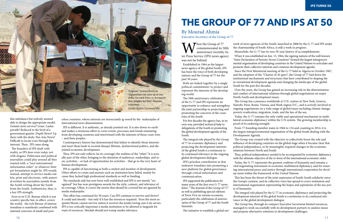this imbalance but nobody seemed able to design the appropriate model. Gemini news service? Gone. Lankapuvath? Reduced to the level of a government gazette. Depth News? Up there with the dodo. Pan Asia News? Difficult to locate even through the internet. Then, IPS came along.

The founders of IPS dealt with reality, as IPS does even today, not with slogans. Politicians and political journalists could play around all they wanted with a "new international information order" or whatever their pet formulation might be. IPS would, instead, attempt to service media outlets, print and electronic, with material written by journalists mainly from the South writing about the South from the South. Authenticity, thus, is a key IPS strength.

Even in its U.N. Bureau which is not country specific but, in effect, covers the world, the rich flavour of internationalism is seamlessly combined with national concerns of small and powerless countries. whose interests are insouciantly ig-nored by the maharajahs of international news dissemination.

IPS is different. It is authentic, as already pointed out. It is also down-to-earth and makes a strenuous effort to cover events, processes and trends emanating from developing countries and intertwined with the interests of those coun-tries – and their peoples.

**W** commemorated its 50th<br>ter Press Service (IPS) news agency commemorated its 50th anniversary recently, Inwas not far behind.

Contemporary history has demonstrated that failure to identify those interests and meet them leads to societal disequi-librium, dysfunctional politics, and disjointed economic development.

Thus, IPS not only reflects (in its coverage) the realities of the "other." It is actually part of the other, bringing to the attention of audiences, readerships, and so on, activities – or lack of opportunities for activities – that go to the very heart of human development.

IPS is capable of functioning as both a catalyst and monitor of development. Other efforts to create and nurture such an institution have failed, mainly because they lacked high professional standards as well as funding.

The standards side has now been well established and IPS is not merely "recognised" but has won prestigious awards for the style, content, and relevance of its coverage. Often, it covers the stories that should be covered but are ignored by media maharajahs.

This effort has continued for 50 years. Can IPS continue to survive and thrive? It could and should – but only if it has the resources required. Even the most exquisite bloom cannot survive unless it receives the tender loving care it de-serves. IPS is too critically important a media institution to be allowed to languish for want of resources. Moolah should not trump media relevance.

Established in 1964 as the largest news agency of the global South, IPS has been the voice of both developing nations and the Group of 77 for the past 50 years.

Both are linked together by a single political commitment: to protect and represent the interests of the developing world.

The 50th anniversary celebration of the G-77 and IPS represents an opportunity to enhance and strengthen the joint partnership in projecting and promoting the concerns of the countries of the South.

For five decades the agency has, in its own way, provided technical help to delegations of the South in promoting the global development agenda of the South.

The integral role played by the Group of 77 in economic diplomacy and projecting the development interests of the global South is a testimony to its continued relevance in the ongoing global development dialogue.



IPS's priceless contribution in that endeavor translates into promoting a new platform for global governance through critical information and communication.

IPS supported the publication for many years of the first ever G-77 newsletter: "The Journal of the Group of 77," as well as publishing special editions of Terra Viva on various occasions, particularly the celebration of anniversaries of the Group of 77 and the South Summits.

The initiative to establish a global net-

## **The Group of 77 and IPS at 50**

work of news agencies of the South, launched in 2006 by the G-77 and IPS under the chairmanship of South Africa, is still a work in progress.

Meanwhile, the G-77 has its own 50-year history of accomplishments.

When it was established on Jun. 15, 1964, the signing nations of the well-known "Joint Declaration of Seventy-Seven Countries" formed the largest intergovernmental organisation of developing countries in the United Nations to articulate and promote their collective interests and common development agenda.

Since the First Ministerial meeting of the G-77 held in Algeria in October 1967, and the adoption of the "Charter of Al-giers", the Group of 77 laid down the institutional mechanisms and structures that have contributed to shaping the in-ternational development agenda and changing the landscape of the global South for the past five decades.

Over the years, the Group has gained an increasing role in the determination and conduct of international relations through global negotiations on major North-South and development issues.

The Group has a presence worldwide at U.N. centres in New York, Geneva, Nairobi, Paris, Rome, Vienna, and Wash-ington D.C., and is actively involved in ongoing negotiations on a wide range of global issues including climate change, poverty eradication, migration, trade, and the law of the sea.

Today, the G-77 remains the only viable and operational mechanism in multilateral economic diplomacy within the U.N system. The growing membership is proof of its enduring strength.

From 77 founding member states in 1964 to 134 and counting in 2014, it is the largest intergovernmental organisation of the global South dealing with the Development Agenda.

The Group was created with the objective to collectively boost the role and influence of developing countries on the global stage when it became clear that political independence, to be meaningful, required changes in the economic relations between North and South.

Thus, political independence needed to be accompanied by economic diplomacy with the ultimate objective of the re-form of the international economic order.

Today, the G-77 represents the greatest coalition of humanity and remains a vital negotiating instrument in economic multilateral diplomacy, and for ensuring international peace and justice through international cooperation for develop-ment within the framework of the United Nations.

This has been the thrust of the joint expression of South-South solidarity since the Group's creation, and its collective voice has spread to every institution and international organisation representing the hopes and aspirations of the ma-jori-

ty of humanity.

The integral role played by the G-77 in economic diplomacy and projecting the development interests of the global South is a testimony to its continued relevance in the global development dialogue.

The Group has, through its compact Executive Secretariat limited resources, managed to work successfully with its development partners to analyse issues and propose alternative solutions to development challenges.

#### By Mourad Ahmia Executive Secretary of the Group of 77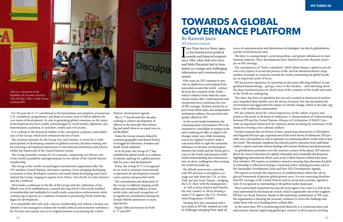For 50 years the G-77 contributed to the formulation and adoption of numerous U.N. resolutions, programmes, and plans of action, most of which address the core issues of development. Its role in generating global consensus on the issues of development has been widely acknowledged by world leaders, diplomats, parliamentarians, academia, re-searchers, media and civil society.

It is a tribute to the historical validity of the conception, purposes, and endeavours of the Group, which have withstood the test of time.

The essential rationale for the Group was, and remains, to strive for a wider participation of developing countries in global economic decision-making and for inserting a development dimension in international institutions and policies within the framework of the United Nations system.

The Group presently consists of 134 countries, comprising over 80 per cent of the world's population and approximate-ly two-thirds of the United Nations membership.

The Group is the world's second largest international organisation after the 193-member United Nations, and many countries, from emerging developing economies to least developed countries and small island developing states have chaired the Group, ranging in regions from Africa, Asia-Pacific to Latin America and the Caribbean.

2014 marks a milestone in the life of the Group with the celebration of the fiftieth year of its establishment, a period dur-ing which it has nearly doubled in membership and multiplied its south-south cooperation achievements while continu-ing to operate as a coalition of nations in promoting North-South dialogue for development.

I since The Press Service News Agency has braved severe political assaults and financial tempests since 1964, when Rob-erto Savio and Pablo Piacentini laid its foundation as a unique and challenging information and communication system.

It is remarkable that with such a diverse membership and without a formal constitution it has managed to endure the world's political and economic turbulence for 50 years and remain true to its original mission in promoting the United

Nations' development agenda.

The G-77 has devoted five decades working to achieve development. It adheres to the principle that nations, big and small, deserve an equal voice in world affairs.

Today the Group remains linked by common geography and shared history of struggle for liberation, freedom and South-South solidarity.

In its 50 years, the Group of 77 has solidified the global South as a coalition of nations, aspiring for a global partnership for peace and development.

Today, the Group of 77 is recognised for its work to promote international cooperation for development towards a pros-perous and peaceful world.

The commitment and dedication of the Group in selflessly shaping world affairs has benefited billions of lives world-wide, and such recognition of its significant contribution during the Group's fiftieth anniversary is most appropriate.

Happy 50th anniversary for both G-77 and IPS!

Fifty years on, IPS continues to provide in-depth news and analysis from journalists around the world – primarily from the countries of the South – which is distinct from what the mainstream media offer. Underreported and unreported news constitutes the core of IPS coverage. Opinion articles by experts from think tanks and independent institutions enhance the spectrum and quality offered by IPS.

As the social media transforms the communication environment, IPS is determined to consolidate its unique niche and is tailoring its offer to adapt to the changes under way, while remaining true to its original vocation: make a concerted effort to right the systematic imbalance in the flow of information between the South and the North, give a voice to the South and promote South-South understanding and communication. In short, nothing less than turning the world downside up.

The fiftieth anniversary coincides with IPS decision to strengthen coverage not only from the U.N. in New York, but also from Vienna – bridging the U.N. there with the headquarters – as well as from Geneva and Nairobi, the only country in Africa hosting a major U.N. agency, the U.N. Environment Programme (UNEP).

Turning 50 is also associated with a new phase in IPS life, marked not only by challenges emerging from rapid ad-

### **Towards a Global Governance Platform**

vance of communication and information technologies, but also by globalisation and the world financial crisis.

The latter is causing deeper social inequalities, and greater imbalances in international relations. These developments have therefore become thematic priorities in IPS coverage.

The consequences of "turbo-capitalism", which allows finance capital to prevail over every aspect of social and person-al life, and has disenfranchised a large number of people in countries around the world constituting the global South, are an important point of focus.

IPS has proven experience in reporting on the issues affecting millions of marginalised human beings – giving a voice to the voiceless – and informing about the deep transitional process which most of the countries of the South and some in the North are undergoing.

This latter day form of capitalism has not only resulted in dismissal of workers and catapulted their families into the throes of misery, but also devastated the environment and aggravated the impact of climate change, which is also play-ing havoc with traditional communities.

IPS also informs about the critical importance of the culture of peace and points to the perils of all forms of militarism. A Memorandum of Understanding between IPS and the United Nations Alliance of Civilizations (UNAOC) provides an important framework for seminars aimed at raising the awareness of the media in covering cross-cultural conflicts.

Nuclear weapons that are known to have caused mass destruction in Hiroshima and Nagasaki 69 years ago, represent one of the worst forms of militarism. IPS provides news and analysis as well as opinions on continuing efforts world-wide to ban the bomb. This thematic emphasis has educed positive reactions from individual readers, experts and insti-tutions dealing with nuclear abolition and disarmament. As globalisation permeates even the remotest corners of the planet, IPS informs about the need of education for global citizenship and sustainable development, highlighting international efforts such as the United Nations Global Education First Initiative. IPS reports on initiatives aimed at ensuring that education for glob-

al citizenship is reflected in intergov-ernmental policy-making processes such as the Sustainable Development Goals and Post-2015 Development Agenda.

IPS reports accentuate the importance of multilateralism within the oft-neglected framework of genuine global govern-ance. It is not surprising therefore that IPS coverage of the United Nations and its social and economic agenda is wide-ly recognised as outstanding in the global media landscape.

This is particularly important because the news agency has come to a fork in the road represented by the financial crunch, which is apparently one of the toughest IPS has ever faced. However, thanks to the unstinting commitment of 'IPS-ians', the organisation is showing the necessary resilience to brave the challenge and refute those who see it heading down a blind alley.

At the same time, IPS is positioning itself distinctly as a communication and information channel supporting global gov-ernance in all its aspects, privileg-

#### By Ramesh Jaura IPS Director General



**IPS turns 500 million**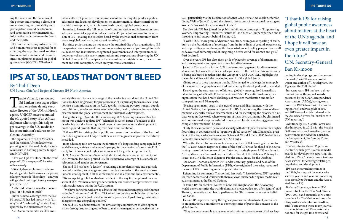ing the voices and the concerns of the poorest and creating a climate of understand-ing, accountability and participation around development and promoting a new international information order between the South and the North.

IPS has the necessary infrastructure and human resources required for facilitating the organisational architecture of an information and communication platform focused on 'global governance' (GGICP). Whether it

Tarzie Vittachi, a renowned<br>
Sri Lankan newspaper editor<br>
and one-time deputy executive<br>
director of the U.N. children's Sri Lankan newspaper editor and one-time deputy execagency UNICEF, once recounted the oft-quoted story of an African diplomat who sought his help to get coverage in the U.S. media for his prime minister's address to the General Assembly.

### **IPS at 50, Leads That Don't Bleed**

The diplomat, a friend of Vittachi's, said the visiting African leader was planning to tell the world body his success stories in battling poverty, hunger and HIV/AIDS.

"How can I get this story into the front pages of U.S. newspapers?" he asked rather naively.

Vittachi, then a columnist and contributing editor to Newsweek magazine, jokingly retorted: "Shoot him – and you will get the front page of every newspaper in the U.S."

As the old tabloid journalistic axiom goes: "If it bleeds, it leads."

But in its news coverage over the last 50 years, IPS has led mostly with "unsexy" and "un-bleeding" stories, long ignored by the mainstream media. As IPS commemorates its 50th anni-

versary this year, its news coverage of the developing world and the United Nations has been singled out for praise because of its primary focus on social and politico-economic issues on the U.N. agenda, including poverty, hunger, population, children, gender empowerment, education, health, refugees, human rights, disarmament, the global environment and sustainable development.

Congratulating IPS on its 50th anniversary, U.N. Secretary-General Ban Kimoon was quick to applaud IPS' "relentless focus on issues of concern to the developing world – from high-level negotiations on economic development to on-the-ground projects that improve health and sanitation.

"I thank IPS for raising global public awareness about matters at the heart of the U.N.'s agenda, and I hope it will have an even greater impact in the future," he added.

In its advocacy role, IPS was in the forefront of a longstanding campaign, led by world leaders, activists and women's groups, for the creation of a separate U.N. entity to reinforce equal rights for women and for gender empowerment.

U.N. Assistant Secretary-General Lakshmi Puri, deputy executive director of U.N. Women, last week praised IPS for its intensive coverage of sustainable development and gender empowerment.

She said IPS has been "a leader" in realising a more democratic and equitable new information, knowledge and com-munication order in the service of sustainable development in all its dimensions: social, economic and environmental.

"Its enterprising role has also been evident in the way it championed the creation of U.N. Women: a new gender equali-ty and women's empowerment and rights architecture within the U.N. system.

 "We have partnered with IPS to advance this most important project for humanity in the 21st century," said Puri. "IPS joined our political mobilisation drive for a stand-alone gender equality and women's empowerment goal through sus-tained engagement and compelling content."

She said IPS has demonstrated "its unwavering commitment to development issues through supporting our efforts to mainstream gender perspectives in the

#### By Thalif Deen

UN Bureau Chief and Regional Director IPS North America

is the culture of peace, citizen empowerment, human rights, gender equality, education and learning, development or environment, all these contribute to societal development, which in turn leads towards global governance.

In order to harness the full potential of communication and information tools, adequate financial support is indispensa-ble. Projects that conform to the mission of IPS – making the voiceless heard by the international community, from lo-cal to global level – are one way of securing funds.

> In recent years, IPS has been a threetime winner of the annual awards presented by the U.N. Correspondents' Asso-ciation (UNCA), having won a bronze in 1997 (shared with the Washington Post) and two golds in 2012 and 2013 (one of which it shared with the Associated Press) for "excellence in U.N. reporting".

But since projects alone do not ensure the sustainability of an organisation, IPS is exploring new sources of funding: encouraging sponsorships through individual readers and institutions, enlightened governments and intergovernmental bodies as well as civil society organisations and corporations observing the UN Global Compact's 10 principles in the areas of human rights, labour, the environment and anti-corruption, which enjoy universal consensus.

G77, particularly via the Declaration of Santa Cruz 'For a New World Order for Living Well' of June 2014, and the historic pre-summit international meeting on Women's Proposals for a New World Order."

She also said IPS has joined the public mobilisation campaign – "Empowering Women, Empowering Humanity: Picture It"- as a Media Compact partner, and is throwing its full support behind Beijing+20.

"I wish IPS 50 more years of dynamic evolution, courageous reporting of truth, built on the foundations of reportage from the front-lines of ground experiences, and of providing game changing third-eye wisdom and policy perspectives on all endeavours of humanity and of imagining a better world for women and girls," Puri declared.

Over the years, IPS has also given pride of place for coverage of disarmament and development – and specifically nu-clear disarmament. Jayantha Dhanapala, a former U.N. under-secretary-general for disarmament affairs, said last week there is special significance in the fact that this anniversary is being celebrated together with the Group of 77 and UNCTAD, highlight-ing the umbilical link with the developing world of the global South. Giving voice to these important trends, IPS emerged to challenge the monopoly of the news exchange system and its dominance by the developed world, he added. Drawing on the vast reservoir of hitherto globally unrecognised journalistic talent in the global South, Roberto Savio and Pablo Piacentini co-founded an organisation that has braved challenges of resource mobilisation and unfair com-petition, said Dhanapala.

"Having spent many years in the area of peace and disarmament with the United Nations, I am personally grateful to IPS for espousing the cause of disarmament, especially nuclear disarmament, and for identifying the priority of a nuclear weapon-free world where weapons of mass destruction must be eliminated and conventional weapons reduced from current levels in achieving general and complete disarmament," he said.

"Only then can we have peace and security with development and human rights flourishing in collective and co-operative global security," said Dhanapala, president of the Pugwash Conferences on Science & World Affairs (1995 Nobel Peace Laureate) and a former ambassador of Sri Lanka.

When the United Nations launched a new series in 2004 drawing attention to the "10 Most Under-Reported Stories of the Year", IPS was far ahead of the curve having covered at least seven of the 10 stories in a single year: AIDS or-phans in Africa; Women as Peacemakers; the Hidden World of the Stateless; Policing for Peace; the Girl Soldier; In-digenous Peoples and a Treaty for the Disabled.

 Dr. Shashi Tharoor, a former U.N. under-secretary-general and head of the Department of Public Information (DPI), who originated the series, recounted the role of IPS in covering under-reported stories.

Reiterating his comments, Tharoor said last week: "I have followed IPS' reporting for three decades, and worked with them at close quarters during my media-related assignments at the United Nations.

"I found IPS an excellent source of news and insight about the developing world, covering stories the world's dominant media outlets too often ignore," said Tharoor, currently a member of parliament for Thiruvananthapuram in India's Lok Sabha.

He said IPS reporters marry the highest professional standards of journalism to an institutional commitment to covering stories of particular concern to the global South.

"They are indispensable to any reader who wishes to stay abreast of what's hap-

pening in developing countries around the world," said Tharoor, a prolific writer and author of 'The Elephant, the Tiger and the Cell Phone'.

Additionally, IPS' Gareth Porter was also honoured in 2012 with the Martha Gellhorn Prize for Journalism, whose past winners included the Guardian, the Independent, the Sunday Times and Wikileaks.

The Washington-based Population Institute, which gave its annual media awards for development reporting, singled out IPS as "the most conscientious news service" for coverage relating to population and development.

IPS won the award nine times in the 1990s, beating out the major wire services year in and year out, conceding occa-sionally to Reuters and the Associated Press (AP).

Barbara Crossette, a former U.N. bureau chief for the New York Times (1994-2001) and currently U.N. correspondent for The Nation and contributing writer and editor for PassBlue, said, "I am among those many journalists who follow the IPS reports daily, not only for insight into events and

"I thank IPS for raising global public awareness about matters at the heart of the U.N.'s agenda, and I hope it will have an even greater impact in the future.''

U.N. Secretary-General Ban Ki-moon